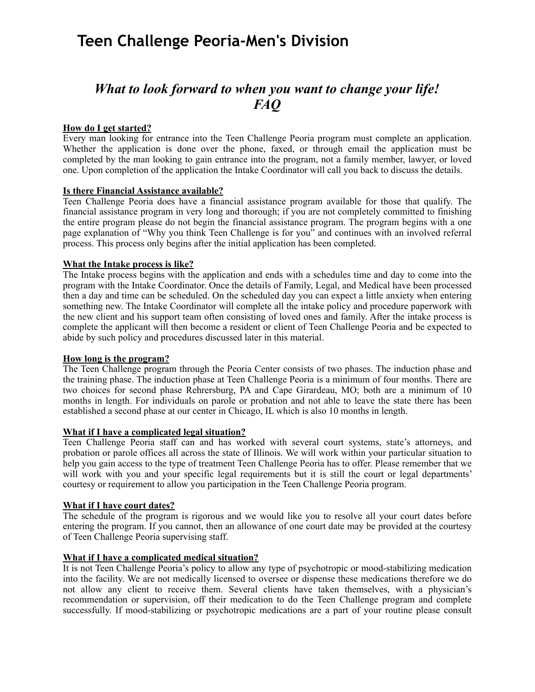# *What to look forward to when you want to change your life! FAQ*

### **How do I get started?**

Every man looking for entrance into the Teen Challenge Peoria program must complete an application. Whether the application is done over the phone, faxed, or through email the application must be completed by the man looking to gain entrance into the program, not a family member, lawyer, or loved one. Upon completion of the application the Intake Coordinator will call you back to discuss the details.

#### **Is there Financial Assistance available?**

Teen Challenge Peoria does have a financial assistance program available for those that qualify. The financial assistance program in very long and thorough; if you are not completely committed to finishing the entire program please do not begin the financial assistance program. The program begins with a one page explanation of "Why you think Teen Challenge is for you" and continues with an involved referral process. This process only begins after the initial application has been completed.

### **What the Intake process is like?**

The Intake process begins with the application and ends with a schedules time and day to come into the program with the Intake Coordinator. Once the details of Family, Legal, and Medical have been processed then a day and time can be scheduled. On the scheduled day you can expect a little anxiety when entering something new. The Intake Coordinator will complete all the intake policy and procedure paperwork with the new client and his support team often consisting of loved ones and family. After the intake process is complete the applicant will then become a resident or client of Teen Challenge Peoria and be expected to abide by such policy and procedures discussed later in this material.

#### **How long is the program?**

The Teen Challenge program through the Peoria Center consists of two phases. The induction phase and the training phase. The induction phase at Teen Challenge Peoria is a minimum of four months. There are two choices for second phase Rehrersburg, PA and Cape Girardeau, MO; both are a minimum of 10 months in length. For individuals on parole or probation and not able to leave the state there has been established a second phase at our center in Chicago, IL which is also 10 months in length.

### **What if I have a complicated legal situation?**

Teen Challenge Peoria staff can and has worked with several court systems, state's attorneys, and probation or parole offices all across the state of Illinois. We will work within your particular situation to help you gain access to the type of treatment Teen Challenge Peoria has to offer. Please remember that we will work with you and your specific legal requirements but it is still the court or legal departments' courtesy or requirement to allow you participation in the Teen Challenge Peoria program.

#### **What if I have court dates?**

The schedule of the program is rigorous and we would like you to resolve all your court dates before entering the program. If you cannot, then an allowance of one court date may be provided at the courtesy of Teen Challenge Peoria supervising staff.

#### **What if I have a complicated medical situation?**

It is not Teen Challenge Peoria's policy to allow any type of psychotropic or mood-stabilizing medication into the facility. We are not medically licensed to oversee or dispense these medications therefore we do not allow any client to receive them. Several clients have taken themselves, with a physician's recommendation or supervision, off their medication to do the Teen Challenge program and complete successfully. If mood-stabilizing or psychotropic medications are a part of your routine please consult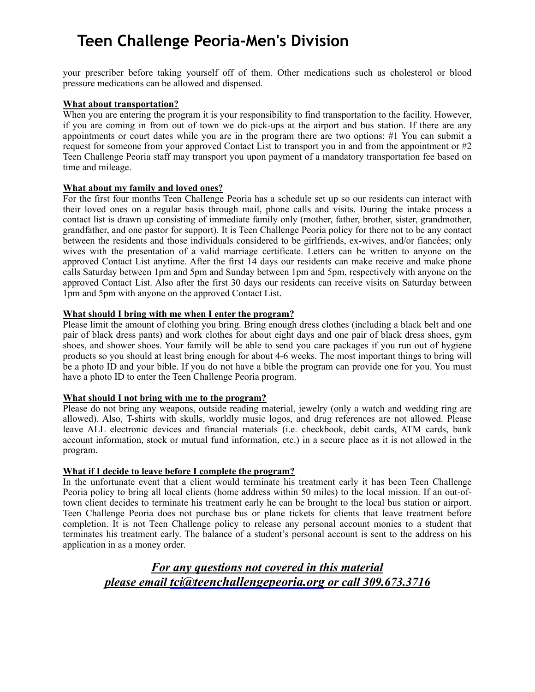your prescriber before taking yourself off of them. Other medications such as cholesterol or blood pressure medications can be allowed and dispensed.

#### **What about transportation?**

When you are entering the program it is your responsibility to find transportation to the facility. However, if you are coming in from out of town we do pick-ups at the airport and bus station. If there are any appointments or court dates while you are in the program there are two options: #1 You can submit a request for someone from your approved Contact List to transport you in and from the appointment or #2 Teen Challenge Peoria staff may transport you upon payment of a mandatory transportation fee based on time and mileage.

### **What about my family and loved ones?**

For the first four months Teen Challenge Peoria has a schedule set up so our residents can interact with their loved ones on a regular basis through mail, phone calls and visits. During the intake process a contact list is drawn up consisting of immediate family only (mother, father, brother, sister, grandmother, grandfather, and one pastor for support). It is Teen Challenge Peoria policy for there not to be any contact between the residents and those individuals considered to be girlfriends, ex-wives, and/or fiancées; only wives with the presentation of a valid marriage certificate. Letters can be written to anyone on the approved Contact List anytime. After the first 14 days our residents can make receive and make phone calls Saturday between 1pm and 5pm and Sunday between 1pm and 5pm, respectively with anyone on the approved Contact List. Also after the first 30 days our residents can receive visits on Saturday between 1pm and 5pm with anyone on the approved Contact List.

#### **What should I bring with me when I enter the program?**

Please limit the amount of clothing you bring. Bring enough dress clothes (including a black belt and one pair of black dress pants) and work clothes for about eight days and one pair of black dress shoes, gym shoes, and shower shoes. Your family will be able to send you care packages if you run out of hygiene products so you should at least bring enough for about 4-6 weeks. The most important things to bring will be a photo ID and your bible. If you do not have a bible the program can provide one for you. You must have a photo ID to enter the Teen Challenge Peoria program.

#### **What should I not bring with me to the program?**

Please do not bring any weapons, outside reading material, jewelry (only a watch and wedding ring are allowed). Also, T-shirts with skulls, worldly music logos, and drug references are not allowed. Please leave ALL electronic devices and financial materials (i.e. checkbook, debit cards, ATM cards, bank account information, stock or mutual fund information, etc.) in a secure place as it is not allowed in the program.

### **What if I decide to leave before I complete the program?**

In the unfortunate event that a client would terminate his treatment early it has been Teen Challenge Peoria policy to bring all local clients (home address within 50 miles) to the local mission. If an out-oftown client decides to terminate his treatment early he can be brought to the local bus station or airport. Teen Challenge Peoria does not purchase bus or plane tickets for clients that leave treatment before completion. It is not Teen Challenge policy to release any personal account monies to a student that terminates his treatment early. The balance of a student's personal account is sent to the address on his application in as a money order.

*For any questions not covered in this material please email [tci@teenchallengepeoria.org](mailto:tci@teenchallengepeoria.org) or call 309.673.3716*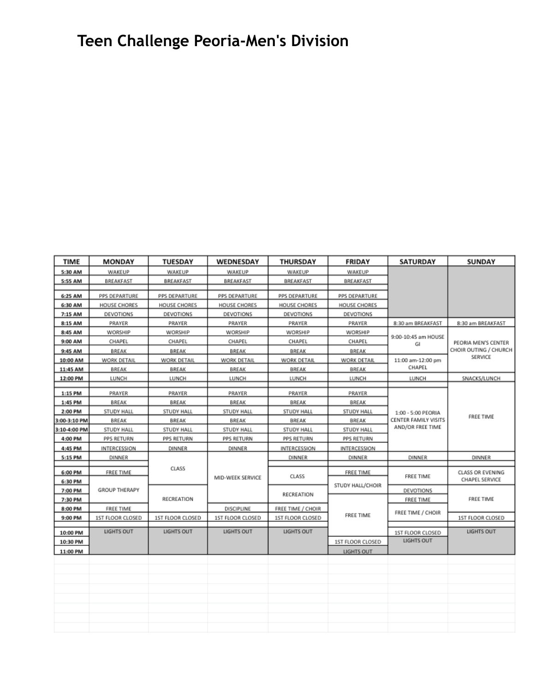| <b>TIME</b>  | MONDAY               | <b>TUESDAY</b>          | WEDNESDAY               | <b>THURSDAY</b>   | FRIDAY                        | SATURDAY                                                       | <b>SUNDAY</b>                                           |
|--------------|----------------------|-------------------------|-------------------------|-------------------|-------------------------------|----------------------------------------------------------------|---------------------------------------------------------|
| 5:30 AM      | WAKEUP               | WAKEUP                  | WAKEUP                  | WAKEUP            | WAKEUP                        |                                                                |                                                         |
| 5:55 AM      | BREAKFAST            | BREAKFAST               | BREAKFAST               | BREAKFAST         | BREAKFAST                     |                                                                |                                                         |
|              |                      |                         |                         |                   |                               |                                                                |                                                         |
| 6:25 AM      | PPS DEPARTURE        | PPS DEPARTURE           | PPS DEPARTURE           | PPS DEPARTURE     | PPS DEPARTURE                 |                                                                |                                                         |
| 6:30 AM      | HOUSE CHORES         | HOUSE CHORES            | HOUSE CHORES            | HOUSE CHORES      | HOUSE CHORES                  |                                                                |                                                         |
| 7:15 AM      | DEVOTIONS            | DEVOTIONS               | DEVOTIONS               | DEVOTIONS         | DEVOTIONS                     |                                                                |                                                         |
| 8:15 AM      | PRAYER               | PRAYER                  | PRAYER                  | PRAYER            | PRAYER                        | 8:30 am BREAKFAST                                              | 8:30 am BREAKFAST                                       |
| 8:45 AM      | WORSHIP              | WORSHIP                 | WORSHIP                 | WORSHIP           | WORSHIP                       | 9:00-10:45 am HOUSE<br>GI<br>11:00 am-12:00 pm<br>CHAPEL       | PEORIA MEN'S CENTER<br>CHOIR OUTING / CHURCH<br>SERVICE |
| 9:00 AM      | CHAPEL               | CHAPEL                  | CHAPEL                  | CHAPEL            | CHAPEL                        |                                                                |                                                         |
| 9:45 AM      | BREAK                | BREAK                   | BREAK                   | BREAK             | BREAK                         |                                                                |                                                         |
| 10:00 AM     | WORK DETAIL          | WORK DETAIL             | WORK DETAIL             | WORK DETAIL       | WORK DETAIL                   |                                                                |                                                         |
| 11:45 AM     | BREAK                | BREAK                   | BREAK                   | BREAK             | BREAK                         |                                                                |                                                         |
| 12:00 PM     | LUNCH                | LUNCH                   | LUNCH                   | LUNCH             | LUNCH                         | LUNCH                                                          | SNACKS/LUNCH                                            |
| 1:15 PM      | PRAYER               | PRAYER                  | PRAYER                  | PRAYER            | PRAYER                        | 1:00 - 5:00 PEORIA<br>CENTER FAMILY VISITS<br>AND/OR FREE TIME | FREE TIME                                               |
| 1:45 PM      | BREAK                | BREAK                   | BREAK                   | BREAK             | BREAK                         |                                                                |                                                         |
| 2:00 PM      | STUDY HALL           | STUDY HALL              | STUDY HALL              | STUDY HALL        | <b>STUDY HALL</b>             |                                                                |                                                         |
| 3:00-3:10 PM | BREAK                | BREAK                   | BREAK                   | BREAK             | BREAK                         |                                                                |                                                         |
| 3:10-4:00 PM | STUDY HALL           | STUDY HALL              | STUDY HALL              | STUDY HALL        | STUDY HALL                    |                                                                |                                                         |
| 4:00 PM      | PPS RETURN           | PPS RETURN              | PPS RETURN              | PPS RETURN        | PPS RETURN                    |                                                                |                                                         |
|              |                      |                         |                         |                   |                               |                                                                |                                                         |
| 4:45 PM      | INTERCESSION         | <b>DINNER</b>           | <b>DINNER</b>           | INTERCESSION      | INTERCESSION                  |                                                                |                                                         |
| 5:15 PM      | <b>DINNER</b>        |                         |                         | <b>DINNER</b>     | DINNER                        | DINNER                                                         | <b>DINNER</b>                                           |
| 6:00 PM      | FREE TIME            | CLASS                   | MID-WEEK SERVICE        | CLASS             | FREE TIME<br>STUDY HALL/CHOIR | FREE TIME                                                      | CLASS OR EVENING<br>CHAPEL SERVICE                      |
| 6:30 PM      |                      |                         |                         |                   |                               |                                                                |                                                         |
| 7:00 PM      | <b>GROUP THERAPY</b> | RECREATION              |                         | RECREATION        |                               | DEVOTIONS                                                      | FREE TIME                                               |
| 7:30 PM      |                      |                         |                         |                   |                               | FREE TIME                                                      |                                                         |
| 8:00 PM      | FREE TIME            |                         | DISCIPLINE              | FREE TIME / CHOIR |                               |                                                                |                                                         |
| 9:00 PM      | 1ST FLOOR CLOSED     | <b>1ST FLOOR CLOSED</b> | <b>1ST FLOOR CLOSED</b> | 1ST FLOOR CLOSED  | FREE TIME                     | FREE TIME / CHOIR                                              | <b>1ST FLOOR CLOSED</b>                                 |
|              | LIGHTS OUT           | LIGHTS OUT              | LIGHTS OUT              | LIGHTS OUT        |                               |                                                                | LIGHTS OUT                                              |
| 10:00 PM     |                      |                         |                         |                   |                               | 1ST FLOOR CLOSED<br>LIGHTS OUT                                 |                                                         |
| 10:30 PM     |                      |                         |                         |                   | 1ST FLOOR CLOSED              |                                                                |                                                         |
| 11:00 PM     |                      |                         |                         |                   | LIGHTS OUT                    |                                                                |                                                         |
|              |                      |                         |                         |                   |                               |                                                                |                                                         |
|              |                      |                         |                         |                   |                               |                                                                |                                                         |
|              |                      |                         |                         |                   |                               |                                                                |                                                         |
|              |                      |                         |                         |                   |                               |                                                                |                                                         |
|              |                      |                         |                         |                   |                               |                                                                |                                                         |
|              |                      |                         |                         |                   |                               |                                                                |                                                         |
|              |                      |                         |                         |                   |                               |                                                                |                                                         |
|              |                      |                         |                         |                   |                               |                                                                |                                                         |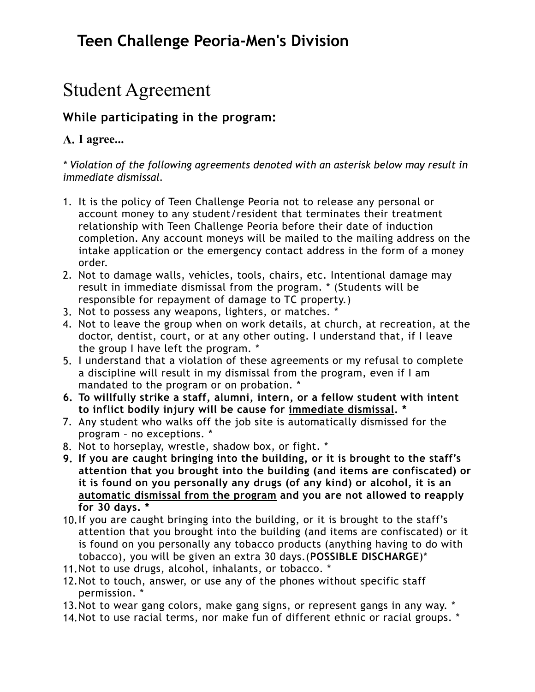# Student Agreement

## **While participating in the program:**

## **A. I agree...**

*\* Violation of the following agreements denoted with an asterisk below may result in immediate dismissal.* 

- 1. It is the policy of Teen Challenge Peoria not to release any personal or account money to any student/resident that terminates their treatment relationship with Teen Challenge Peoria before their date of induction completion. Any account moneys will be mailed to the mailing address on the intake application or the emergency contact address in the form of a money order.
- 2. Not to damage walls, vehicles, tools, chairs, etc. Intentional damage may result in immediate dismissal from the program. \* (Students will be responsible for repayment of damage to TC property.)
- 3. Not to possess any weapons, lighters, or matches. \*
- 4. Not to leave the group when on work details, at church, at recreation, at the doctor, dentist, court, or at any other outing. I understand that, if I leave the group I have left the program. \*
- 5. I understand that a violation of these agreements or my refusal to complete a discipline will result in my dismissal from the program, even if I am mandated to the program or on probation. \*
- **6. To willfully strike a staff, alumni, intern, or a fellow student with intent to inflict bodily injury will be cause for immediate dismissal. \***
- 7. Any student who walks off the job site is automatically dismissed for the program – no exceptions. \*
- 8. Not to horseplay, wrestle, shadow box, or fight. \*
- **9. If you are caught bringing into the building, or it is brought to the staff's attention that you brought into the building (and items are confiscated) or it is found on you personally any drugs (of any kind) or alcohol, it is an automatic dismissal from the program and you are not allowed to reapply for 30 days. \***
- 10.If you are caught bringing into the building, or it is brought to the staff's attention that you brought into the building (and items are confiscated) or it is found on you personally any tobacco products (anything having to do with tobacco), you will be given an extra 30 days.(**POSSIBLE DISCHARGE**)\*
- 11.Not to use drugs, alcohol, inhalants, or tobacco. \*
- 12.Not to touch, answer, or use any of the phones without specific staff permission. \*
- 13.Not to wear gang colors, make gang signs, or represent gangs in any way. \*
- 14.Not to use racial terms, nor make fun of different ethnic or racial groups. \*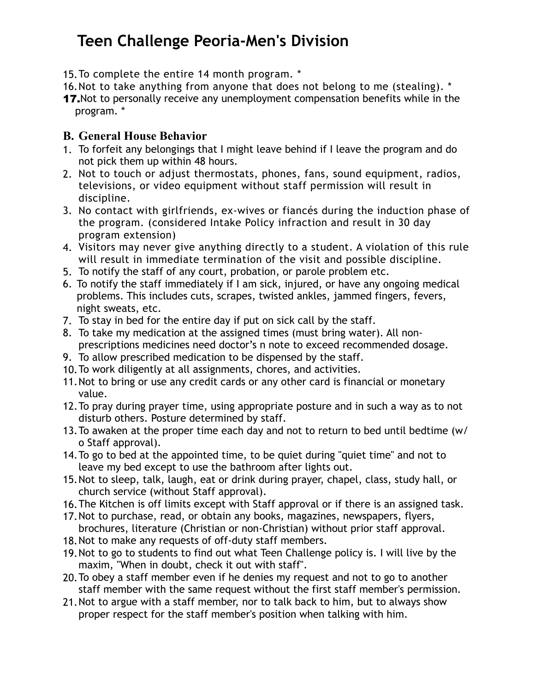- 15.To complete the entire 14 month program. \*
- 16.Not to take anything from anyone that does not belong to me (stealing). \*
- 17. Not to personally receive any unemployment compensation benefits while in the program. \*

### **B. General House Behavior**

- 1. To forfeit any belongings that I might leave behind if I leave the program and do not pick them up within 48 hours.
- 2. Not to touch or adjust thermostats, phones, fans, sound equipment, radios, televisions, or video equipment without staff permission will result in discipline.
- 3. No contact with girlfriends, ex-wives or fiancés during the induction phase of the program. (considered Intake Policy infraction and result in 30 day program extension)
- 4. Visitors may never give anything directly to a student. A violation of this rule will result in immediate termination of the visit and possible discipline.
- 5. To notify the staff of any court, probation, or parole problem etc.
- 6. To notify the staff immediately if I am sick, injured, or have any ongoing medical problems. This includes cuts, scrapes, twisted ankles, jammed fingers, fevers, night sweats, etc.
- 7. To stay in bed for the entire day if put on sick call by the staff.
- 8. To take my medication at the assigned times (must bring water). All nonprescriptions medicines need doctor's n note to exceed recommended dosage.
- 9. To allow prescribed medication to be dispensed by the staff.
- 10.To work diligently at all assignments, chores, and activities.
- 11.Not to bring or use any credit cards or any other card is financial or monetary value.
- 12.To pray during prayer time, using appropriate posture and in such a way as to not disturb others. Posture determined by staff.
- 13.To awaken at the proper time each day and not to return to bed until bedtime (w/ o Staff approval).
- 14.To go to bed at the appointed time, to be quiet during "quiet time" and not to leave my bed except to use the bathroom after lights out.
- 15.Not to sleep, talk, laugh, eat or drink during prayer, chapel, class, study hall, or church service (without Staff approval).
- 16.The Kitchen is off limits except with Staff approval or if there is an assigned task.
- 17.Not to purchase, read, or obtain any books, magazines, newspapers, flyers, brochures, literature (Christian or non-Christian) without prior staff approval.
- 18.Not to make any requests of off-duty staff members.
- 19.Not to go to students to find out what Teen Challenge policy is. I will live by the maxim, "When in doubt, check it out with staff".
- 20.To obey a staff member even if he denies my request and not to go to another staff member with the same request without the first staff member's permission.
- 21.Not to argue with a staff member, nor to talk back to him, but to always show proper respect for the staff member's position when talking with him.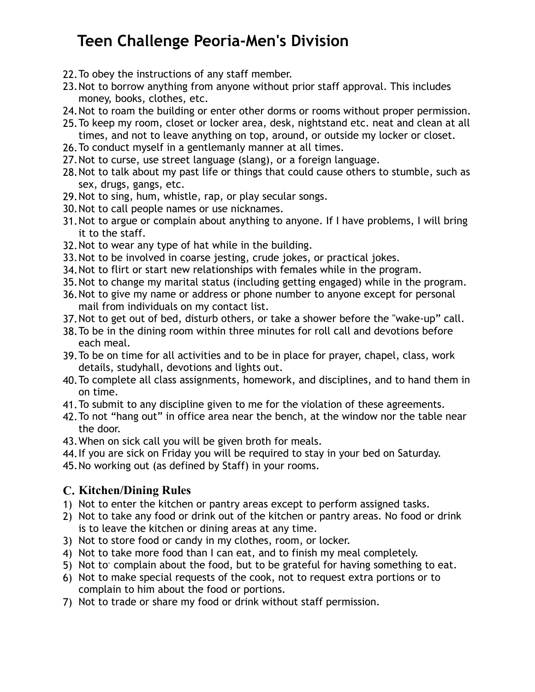- 22.To obey the instructions of any staff member.
- 23.Not to borrow anything from anyone without prior staff approval. This includes money, books, clothes, etc.
- 24.Not to roam the building or enter other dorms or rooms without proper permission.
- 25.To keep my room, closet or locker area, desk, nightstand etc. neat and clean at all times, and not to leave anything on top, around, or outside my locker or closet.
- 26.To conduct myself in a gentlemanly manner at all times.
- 27.Not to curse, use street language (slang), or a foreign language.
- 28.Not to talk about my past life or things that could cause others to stumble, such as sex, drugs, gangs, etc.
- 29.Not to sing, hum, whistle, rap, or play secular songs.
- 30.Not to call people names or use nicknames.
- 31.Not to argue or complain about anything to anyone. If I have problems, I will bring it to the staff.
- 32.Not to wear any type of hat while in the building.
- 33.Not to be involved in coarse jesting, crude jokes, or practical jokes.
- 34.Not to flirt or start new relationships with females while in the program.
- 35.Not to change my marital status (including getting engaged) while in the program.
- 36.Not to give my name or address or phone number to anyone except for personal mail from individuals on my contact list.
- 37.Not to get out of bed, disturb others, or take a shower before the "wake-up" call.
- 38.To be in the dining room within three minutes for roll call and devotions before each meal.
- 39.To be on time for all activities and to be in place for prayer, chapel, class, work details, studyhall, devotions and lights out.
- 40.To complete all class assignments, homework, and disciplines, and to hand them in on time.
- 41.To submit to any discipline given to me for the violation of these agreements.
- 42.To not "hang out" in office area near the bench, at the window nor the table near the door.
- 43.When on sick call you will be given broth for meals.
- 44.If you are sick on Friday you will be required to stay in your bed on Saturday.
- 45.No working out (as defined by Staff) in your rooms.

### **C. Kitchen/Dining Rules**

- 1) Not to enter the kitchen or pantry areas except to perform assigned tasks.
- 2) Not to take any food or drink out of the kitchen or pantry areas. No food or drink is to leave the kitchen or dining areas at any time.
- 3) Not to store food or candy in my clothes, room, or locker.
- 4) Not to take more food than I can eat, and to finish my meal completely.
- 5) Not to complain about the food, but to be grateful for having something to eat.
- 6) Not to make special requests of the cook, not to request extra portions or to complain to him about the food or portions.
- 7) Not to trade or share my food or drink without staff permission.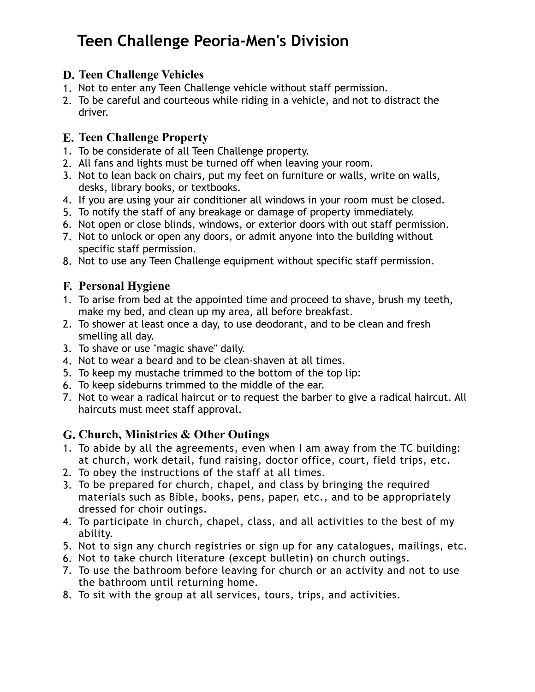## **D. Teen Challenge Vehicles**

- 1. Not to enter any Teen Challenge vehicle without staff permission.
- 2. To be careful and courteous while riding in a vehicle, and not to distract the driver.

## **E. Teen Challenge Property**

- 1. To be considerate of all Teen Challenge property.
- 2. All fans and lights must be turned off when leaving your room.
- 3. Not to lean back on chairs, put my feet on furniture or walls, write on walls, desks, library books, or textbooks.
- 4. If you are using your air conditioner all windows in your room must be closed.
- 5. To notify the staff of any breakage or damage of property immediately.
- 6. Not open or close blinds, windows, or exterior doors with out staff permission.
- 7. Not to unlock or open any doors, or admit anyone into the building without specific staff permission.
- 8. Not to use any Teen Challenge equipment without specific staff permission.

## **F. Personal Hygiene**

- 1. To arise from bed at the appointed time and proceed to shave, brush my teeth, make my bed, and clean up my area, all before breakfast.
- 2. To shower at least once a day, to use deodorant, and to be clean and fresh smelling all day.
- 3. To shave or use "magic shave" daily.
- 4. Not to wear a beard and to be clean-shaven at all times.
- 5. To keep my mustache trimmed to the bottom of the top lip:
- 6. To keep sideburns trimmed to the middle of the ear.
- 7. Not to wear a radical haircut or to request the barber to give a radical haircut. All haircuts must meet staff approval.

## **G. Church, Ministries & Other Outings**

- 1. To abide by all the agreements, even when I am away from the TC building: at church, work detail, fund raising, doctor office, court, field trips, etc.
- 2. To obey the instructions of the staff at all times.
- 3. To be prepared for church, chapel, and class by bringing the required materials such as Bible, books, pens, paper, etc., and to be appropriately dressed for choir outings.
- 4. To participate in church, chapel, class, and all activities to the best of my ability.
- 5. Not to sign any church registries or sign up for any catalogues, mailings, etc.
- 6. Not to take church literature (except bulletin) on church outings.
- 7. To use the bathroom before leaving for church or an activity and not to use the bathroom until returning home.
- 8. To sit with the group at all services, tours, trips, and activities.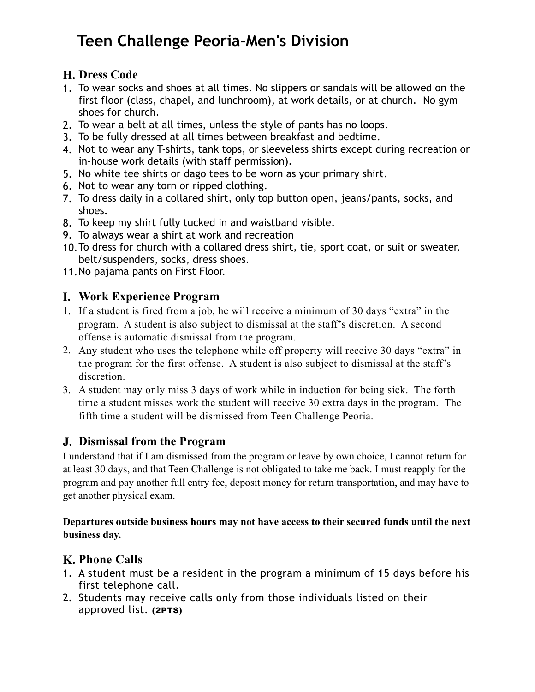## **H. Dress Code**

- 1. To wear socks and shoes at all times. No slippers or sandals will be allowed on the first floor (class, chapel, and lunchroom), at work details, or at church. No gym shoes for church.
- 2. To wear a belt at all times, unless the style of pants has no loops.
- 3. To be fully dressed at all times between breakfast and bedtime.
- 4. Not to wear any T-shirts, tank tops, or sleeveless shirts except during recreation or in-house work details (with staff permission).
- 5. No white tee shirts or dago tees to be worn as your primary shirt.
- 6. Not to wear any torn or ripped clothing.
- 7. To dress daily in a collared shirt, only top button open, jeans/pants, socks, and shoes.
- 8. To keep my shirt fully tucked in and waistband visible.
- 9. To always wear a shirt at work and recreation
- 10.To dress for church with a collared dress shirt, tie, sport coat, or suit or sweater, belt/suspenders, socks, dress shoes.
- 11.No pajama pants on First Floor.

## **I. Work Experience Program**

- 1. If a student is fired from a job, he will receive a minimum of 30 days "extra" in the program. A student is also subject to dismissal at the staff's discretion. A second offense is automatic dismissal from the program.
- 2. Any student who uses the telephone while off property will receive 30 days "extra" in the program for the first offense. A student is also subject to dismissal at the staff's discretion.
- 3. A student may only miss 3 days of work while in induction for being sick. The forth time a student misses work the student will receive 30 extra days in the program. The fifth time a student will be dismissed from Teen Challenge Peoria.

## **J. Dismissal from the Program**

I understand that if I am dismissed from the program or leave by own choice, I cannot return for at least 30 days, and that Teen Challenge is not obligated to take me back. I must reapply for the program and pay another full entry fee, deposit money for return transportation, and may have to get another physical exam.

### **Departures outside business hours may not have access to their secured funds until the next business day.**

# **K. Phone Calls**

- 1. A student must be a resident in the program a minimum of 15 days before his first telephone call.
- 2. Students may receive calls only from those individuals listed on their approved list. (2PTS)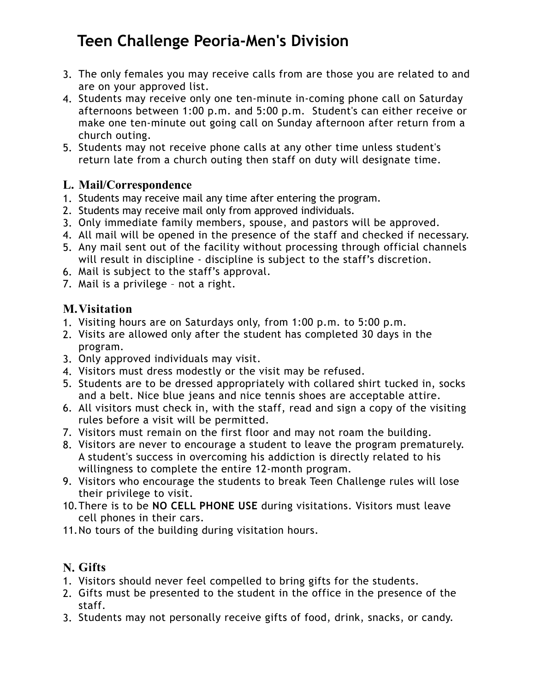- 3. The only females you may receive calls from are those you are related to and are on your approved list.
- 4. Students may receive only one ten-minute in-coming phone call on Saturday afternoons between 1:00 p.m. and 5:00 p.m. Student's can either receive or make one ten-minute out going call on Sunday afternoon after return from a church outing.
- 5. Students may not receive phone calls at any other time unless student's return late from a church outing then staff on duty will designate time.

## **L. Mail/Correspondence**

- 1. Students may receive mail any time after entering the program.
- 2. Students may receive mail only from approved individuals.
- 3. Only immediate family members, spouse, and pastors will be approved.
- 4. All mail will be opened in the presence of the staff and checked if necessary.
- 5. Any mail sent out of the facility without processing through official channels will result in discipline - discipline is subject to the staff's discretion.
- 6. Mail is subject to the staff's approval.
- 7. Mail is a privilege not a right.

## **M.Visitation**

- 1. Visiting hours are on Saturdays only, from 1:00 p.m. to 5:00 p.m.
- 2. Visits are allowed only after the student has completed 30 days in the program.
- 3. Only approved individuals may visit.
- 4. Visitors must dress modestly or the visit may be refused.
- 5. Students are to be dressed appropriately with collared shirt tucked in, socks and a belt. Nice blue jeans and nice tennis shoes are acceptable attire.
- 6. All visitors must check in, with the staff, read and sign a copy of the visiting rules before a visit will be permitted.
- 7. Visitors must remain on the first floor and may not roam the building.
- 8. Visitors are never to encourage a student to leave the program prematurely. A student's success in overcoming his addiction is directly related to his willingness to complete the entire 12-month program.
- 9. Visitors who encourage the students to break Teen Challenge rules will lose their privilege to visit.
- 10.There is to be **NO CELL PHONE USE** during visitations. Visitors must leave cell phones in their cars.
- 11.No tours of the building during visitation hours.

# **N. Gifts**

- 1. Visitors should never feel compelled to bring gifts for the students.
- 2. Gifts must be presented to the student in the office in the presence of the staff.
- 3. Students may not personally receive gifts of food, drink, snacks, or candy.